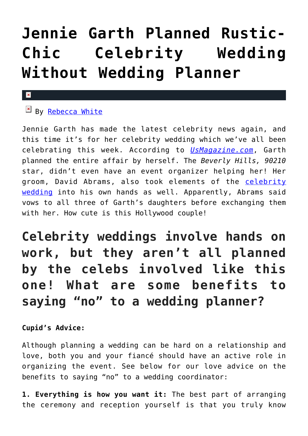## **[Jennie Garth Planned Rustic-](https://cupidspulse.com/96131/jennie-garth-celebrity-wedding/)[Chic Celebrity Wedding](https://cupidspulse.com/96131/jennie-garth-celebrity-wedding/) [Without Wedding Planner](https://cupidspulse.com/96131/jennie-garth-celebrity-wedding/)**

## $\mathbf{x}$

## $E$  By [Rebecca White](http://cupidspulse.com/104603/rebecca-white/)

Jennie Garth has made the latest celebrity news again, and this time it's for her celebrity wedding which we've all been celebrating this week. According to *[UsMagazine.com](http://www.usmagazine.com/celebrity-news/news/jennie-garth-planned-her-own-rustic-chic-wedding-all-the-details-2015147)*, Garth planned the entire affair by herself. The *Beverly Hills, 90210* star, didn't even have an event organizer helping her! Her groom, David Abrams, also took elements of the [celebrity](http://cupidspulse.com/celebrity-relationships/wedding-engagement/) [wedding](http://cupidspulse.com/celebrity-relationships/wedding-engagement/) into his own hands as well. Apparently, Abrams said vows to all three of Garth's daughters before exchanging them with her. How cute is this Hollywood couple!

**Celebrity weddings involve hands on work, but they aren't all planned by the celebs involved like this one! What are some benefits to saying "no" to a wedding planner?**

## **Cupid's Advice:**

Although planning a wedding can be hard on a relationship and love, both you and your fiancé should have an active role in organizing the event. See below for our love advice on the benefits to saying "no" to a wedding coordinator:

**1. Everything is how you want it:** The best part of arranging the ceremony and reception yourself is that you truly know